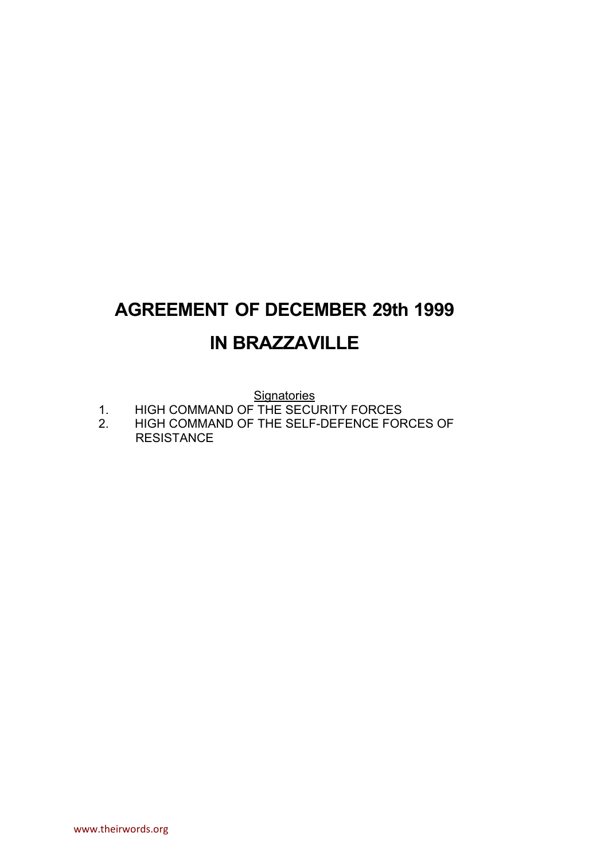## **AGREEMENT OF DECEMBER 29th 1999 IN BRAZZAVILLE**

**Signatories** 

- 1. HIGH COMMAND OF THE SECURITY FORCES<br>2. HIGH COMMAND OF THE SELF-DEFENCE FOR
- HIGH COMMAND OF THE SELF-DEFENCE FORCES OF RESISTANCE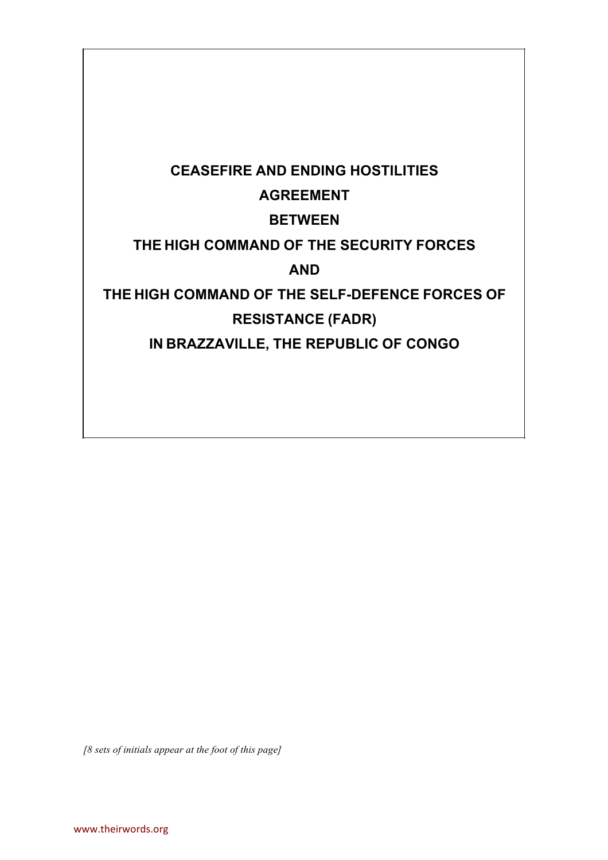# **CEASEFIRE AND ENDING HOSTILITIES AGREEMENT BETWEEN THE HIGH COMMAND OF THE SECURITY FORCES AND THE HIGH COMMAND OF THE SELF-DEFENCE FORCES OF RESISTANCE (FADR) IN BRAZZAVILLE, THE REPUBLIC OF CONGO**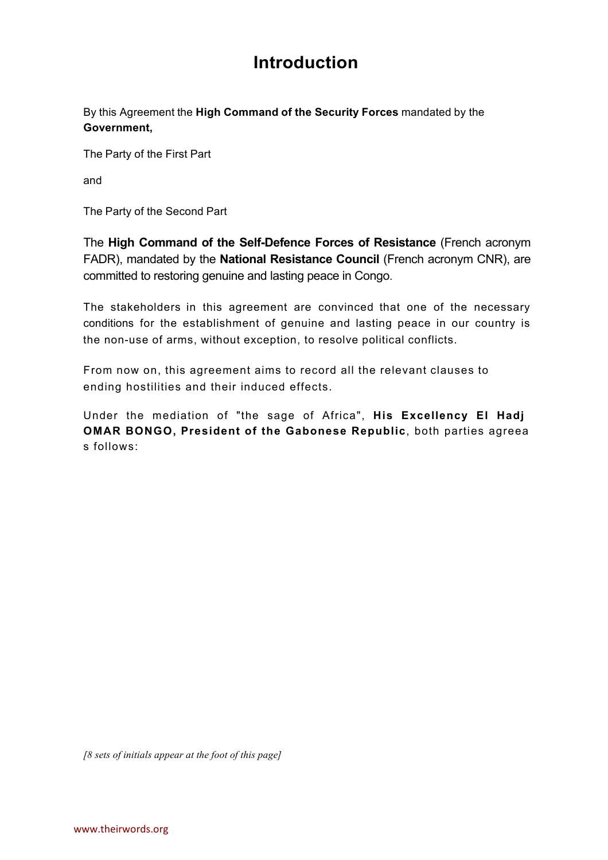### **Introduction**

By this Agreement the **High Command of the Security Forces** mandated by the **Government,**

The Party of the First Part

and

The Party of the Second Part

The **High Command of the Self-Defence Forces of Resistance** (French acronym FADR), mandated by the **National Resistance Council** (French acronym CNR), are committed to restoring genuine and lasting peace in Congo.

The stakeholders in this agreement are convinced that one of the necessary conditions for the establishment of genuine and lasting peace in our country is the non-use of arms, without exception, to resolve political conflicts.

From now on, this agreement aims to record all the relevant clauses to ending hostilities and their induced effects.

Under the mediation of "the sage of Africa", **His Excellency El Hadj OMAR BONGO, President of the Gabonese Republic**, both parties agreea s follows: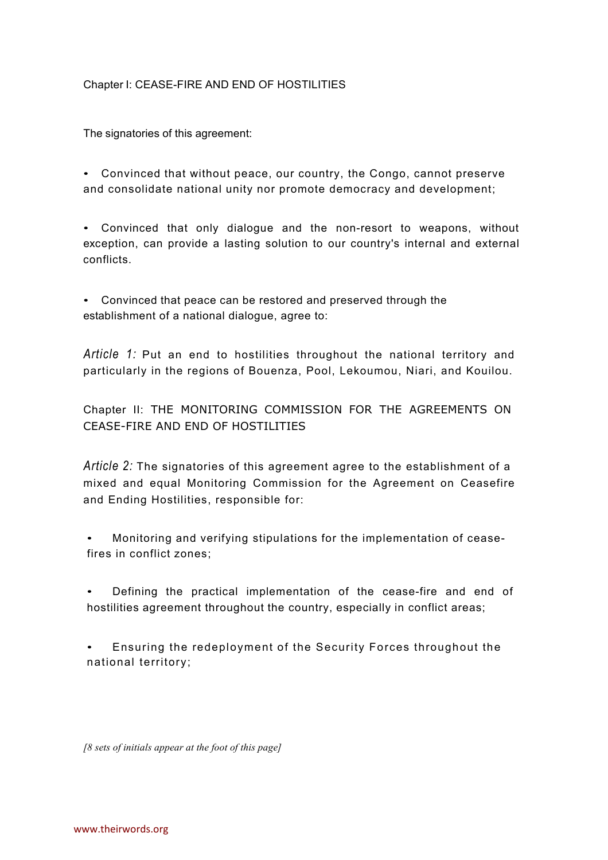#### Chapter I: CEASE-FIRE AND END OF HOSTILITIES

The signatories of this agreement:

• Convinced that without peace, our country, the Congo, cannot preserve and consolidate national unity nor promote democracy and development;

• Convinced that only dialogue and the non-resort to weapons, without exception, can provide a lasting solution to our country's internal and external conflicts.

• Convinced that peace can be restored and preserved through the establishment of a national dialogue, agree to:

*Article 1:* Put an end to hostilities throughout the national territory and particularly in the regions of Bouenza, Pool, Lekoumou, Niari, and Kouilou.

Chapter II: THE MONITORING COMMISSION FOR THE AGREEMENTS ON CEASE-FIRE AND END OF HOSTILITIES

*Article 2:* The signatories of this agreement agree to the establishment of a mixed and equal Monitoring Commission for the Agreement on Ceasefire and Ending Hostilities, responsible for:

Monitoring and verifying stipulations for the implementation of ceasefires in conflict zones:

• Defining the practical implementation of the cease-fire and end of hostilities agreement throughout the country, especially in conflict areas;

Ensuring the redeployment of the Security Forces throughout the national territory;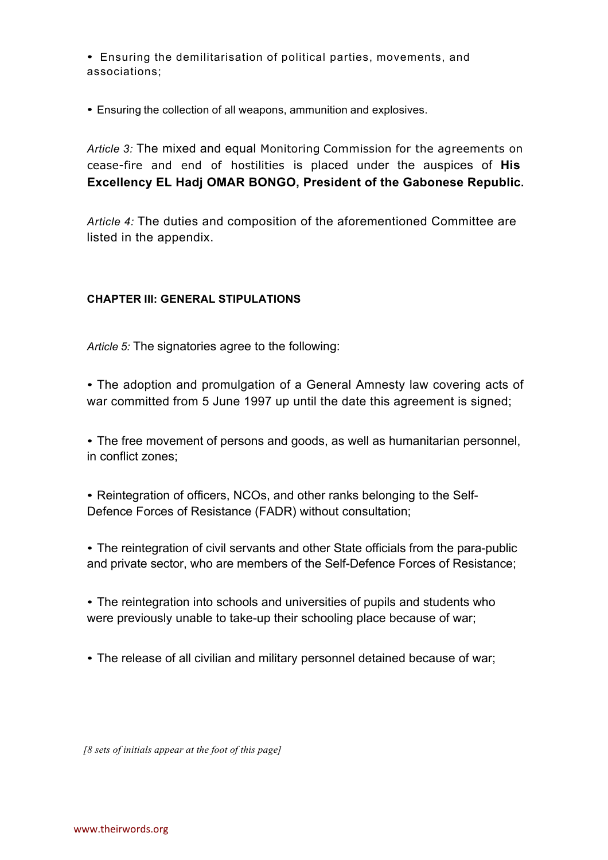• Ensuring the demilitarisation of political parties, movements, and associations;

• Ensuring the collection of all weapons, ammunition and explosives.

*Article 3:* The mixed and equal Monitoring Commission for the agreements on cease-fire and end of hostilities is placed under the auspices of **His Excellency EL Hadj OMAR BONGO, President of the Gabonese Republic.**

*Article 4:* The duties and composition of the aforementioned Committee are listed in the appendix.

#### **CHAPTER III: GENERAL STIPULATIONS**

*Article 5:* The signatories agree to the following:

• The adoption and promulgation of a General Amnesty law covering acts of war committed from 5 June 1997 up until the date this agreement is signed;

• The free movement of persons and goods, as well as humanitarian personnel, in conflict zones;

• Reintegration of officers, NCOs, and other ranks belonging to the Self-Defence Forces of Resistance (FADR) without consultation;

• The reintegration of civil servants and other State officials from the para-public and private sector, who are members of the Self-Defence Forces of Resistance;

• The reintegration into schools and universities of pupils and students who were previously unable to take-up their schooling place because of war;

• The release of all civilian and military personnel detained because of war;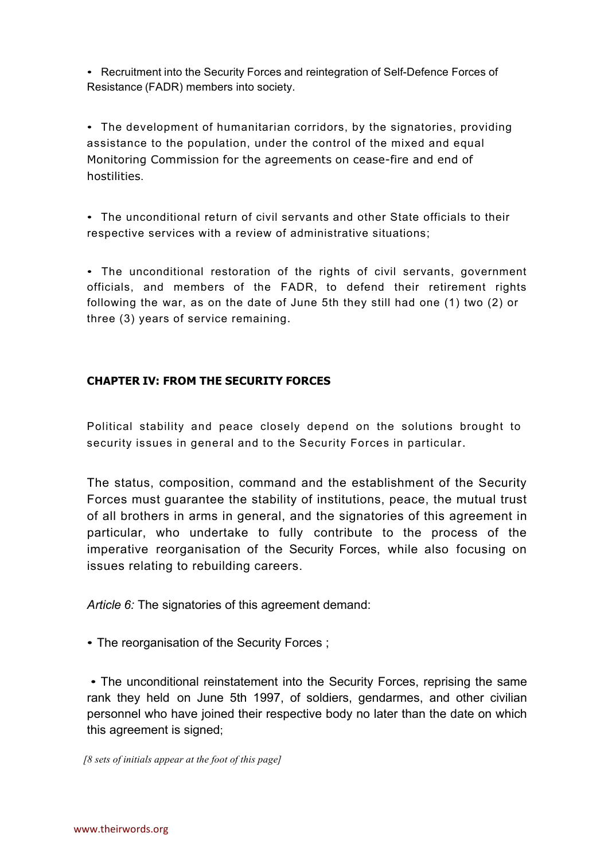• Recruitment into the Security Forces and reintegration of Self-Defence Forces of Resistance (FADR) members into society.

• The development of humanitarian corridors, by the signatories, providing assistance to the population, under the control of the mixed and equal Monitoring Commission for the agreements on cease-fire and end of hostilities.

• The unconditional return of civil servants and other State officials to their respective services with a review of administrative situations;

• The unconditional restoration of the rights of civil servants, government officials, and members of the FADR, to defend their retirement rights following the war, as on the date of June 5th they still had one (1) two (2) or three (3) years of service remaining.

#### **CHAPTER IV: FROM THE SECURITY FORCES**

Political stability and peace closely depend on the solutions brought to security issues in general and to the Security Forces in particular.

The status, composition, command and the establishment of the Security Forces must guarantee the stability of institutions, peace, the mutual trust of all brothers in arms in general, and the signatories of this agreement in particular, who undertake to fully contribute to the process of the imperative reorganisation of the Security Forces, while also focusing on issues relating to rebuilding careers.

*Article 6:* The signatories of this agreement demand:

• The reorganisation of the Security Forces ;

• The unconditional reinstatement into the Security Forces, reprising the same rank they held on June 5th 1997, of soldiers, gendarmes, and other civilian personnel who have joined their respective body no later than the date on which this agreement is signed;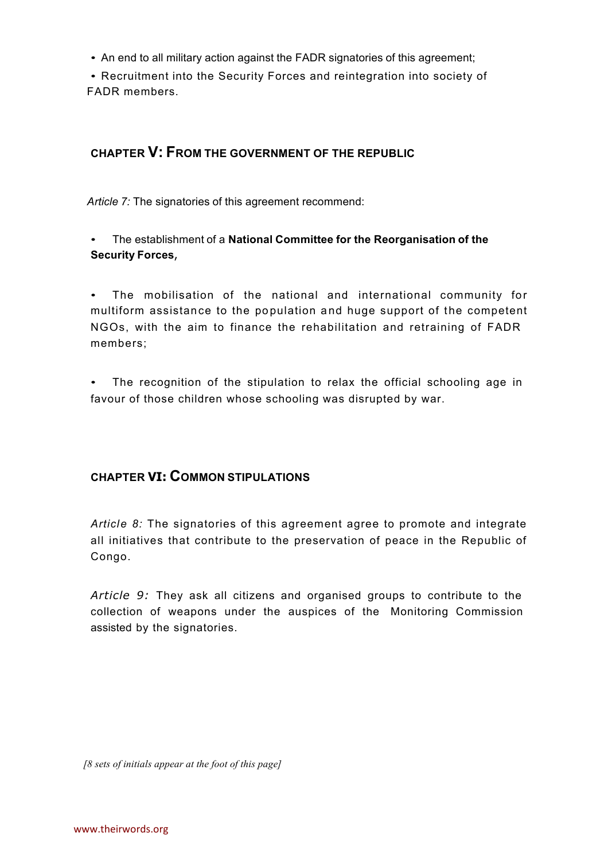• An end to all military action against the FADR signatories of this agreement;

• Recruitment into the Security Forces and reintegration into society of FADR members.

#### **CHAPTER V: FROM THE GOVERNMENT OF THE REPUBLIC**

*Article 7:* The signatories of this agreement recommend:

• The establishment of a **National Committee for the Reorganisation of the Security Forces**,

• The mobilisation of the national and international community for multiform assistance to the population and huge support of the competent NGOs, with the aim to finance the rehabilitation and retraining of FADR members ;

• The recognition of the stipulation to relax the official schooling age in favour of those children whose schooling was disrupted by war.

#### **CHAPTER VI: COMMON STIPULATIONS**

Article 8: The signatories of this agreement agree to promote and integrate all initiatives that contribute to the preservation of peace in the Republic of Congo.

*Article 9:* They ask all citizens and organised groups to contribute to the collection of weapons under the auspices of the Monitoring Commission assisted by the signatories.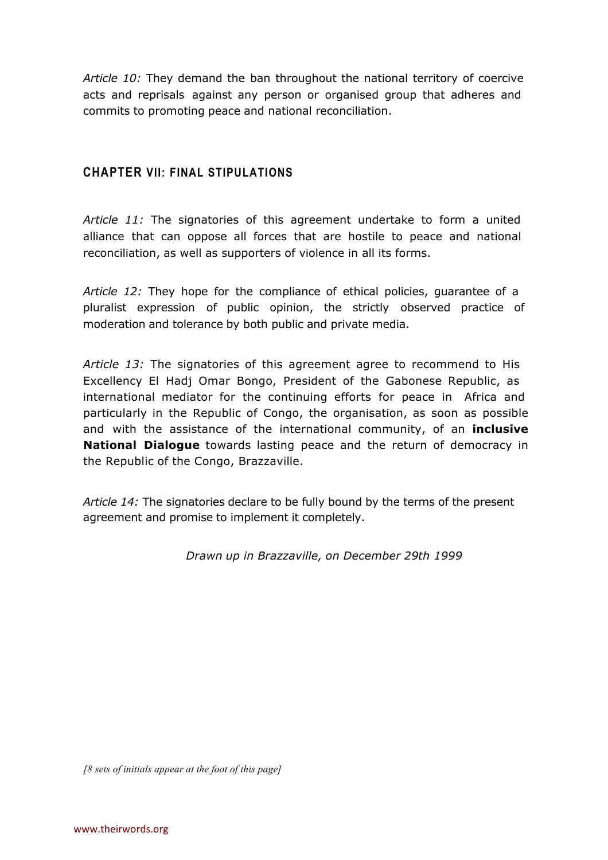*Article 10:* They demand the ban throughout the national territory of coercive acts and reprisals against any person or organised group that adheres and commits to promoting peace and national reconciliation.

#### **CHAPTER VII: FINAL STIPULATIONS**

*Article 11:* The signatories of this agreement undertake to form a united alliance that can oppose all forces that are hostile to peace and national reconciliation, as well as supporters of violence in all its forms.

*Article 12:* They hope for the compliance of ethical policies, guarantee of a pluralist expression of public opinion, the strictly observed practice of moderation and tolerance by both public and private media.

*Article 13:* The signatories of this agreement agree to recommend to His Excellency El Hadj Omar Bongo, President of the Gabonese Republic, as international mediator for the continuing efforts for peace in Africa and particularly in the Republic of Congo, the organisation, as soon as possible and with the assistance of the international community, of an **inclusive National Dialogue** towards lasting peace and the return of democracy in the Republic of the Congo, Brazzaville.

*Article 14:* The signatories declare to be fully bound by the terms of the present agreement and promise to implement it completely.

*Drawn up in Brazzaville, on December 29th 1999*